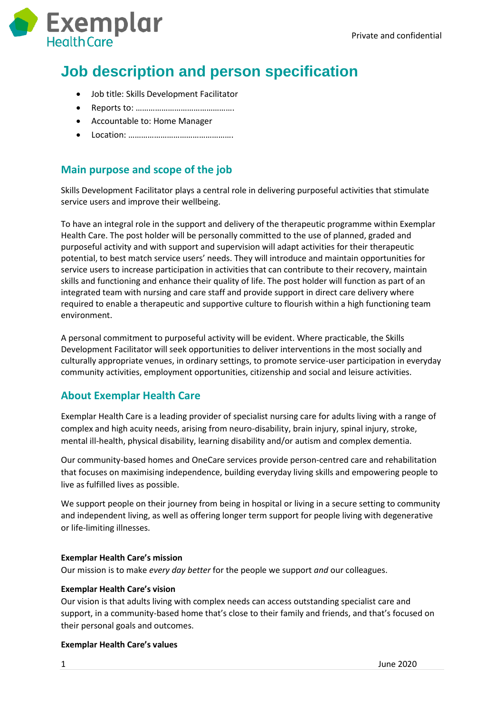

# **Job description and person specification**

- Job title: Skills Development Facilitator
- Reports to: ……………………………………….
- Accountable to: Home Manager
- Location: ………………………………………….

## **Main purpose and scope of the job**

Skills Development Facilitator plays a central role in delivering purposeful activities that stimulate service users and improve their wellbeing.

To have an integral role in the support and delivery of the therapeutic programme within Exemplar Health Care. The post holder will be personally committed to the use of planned, graded and purposeful activity and with support and supervision will adapt activities for their therapeutic potential, to best match service users' needs. They will introduce and maintain opportunities for service users to increase participation in activities that can contribute to their recovery, maintain skills and functioning and enhance their quality of life. The post holder will function as part of an integrated team with nursing and care staff and provide support in direct care delivery where required to enable a therapeutic and supportive culture to flourish within a high functioning team environment.

A personal commitment to purposeful activity will be evident. Where practicable, the Skills Development Facilitator will seek opportunities to deliver interventions in the most socially and culturally appropriate venues, in ordinary settings, to promote service-user participation in everyday community activities, employment opportunities, citizenship and social and leisure activities.

## **About Exemplar Health Care**

Exemplar Health Care is a leading provider of specialist nursing care for adults living with a range of complex and high acuity needs, arising from neuro-disability, brain injury, spinal injury, stroke, mental ill-health, physical disability, learning disability and/or autism and complex dementia.

Our community-based homes and OneCare services provide person-centred care and rehabilitation that focuses on maximising independence, building everyday living skills and empowering people to live as fulfilled lives as possible.

We support people on their journey from being in hospital or living in a secure setting to community and independent living, as well as offering longer term support for people living with degenerative or life-limiting illnesses.

### **Exemplar Health Care's mission**

Our mission is to make *every day better* for the people we support *and* our colleagues.

#### **Exemplar Health Care's vision**

Our vision is that adults living with complex needs can access outstanding specialist care and support, in a community-based home that's close to their family and friends, and that's focused on their personal goals and outcomes.

#### **Exemplar Health Care's values**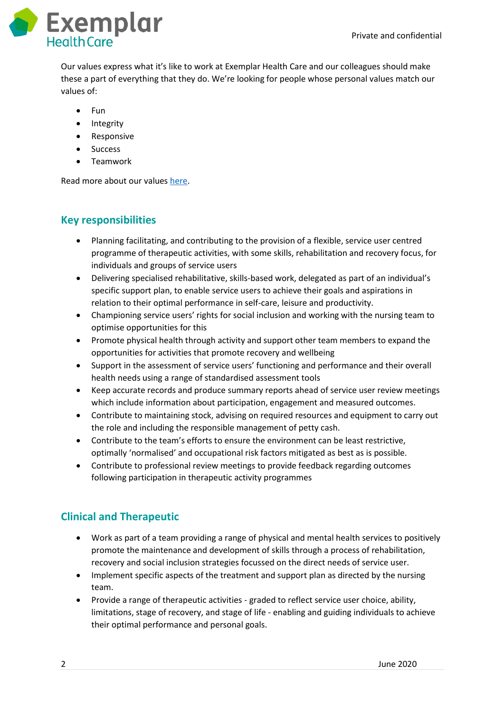

Our values express what it's like to work at Exemplar Health Care and our colleagues should make these a part of everything that they do. We're looking for people whose personal values match our values of:

- $\bullet$  Fun
- Integrity
- Responsive
- Success
- Teamwork

Read more about our values [here.](https://www.exemplarhc.com/about-us/our-values)

## **Key responsibilities**

- Planning facilitating, and contributing to the provision of a flexible, service user centred programme of therapeutic activities, with some skills, rehabilitation and recovery focus, for individuals and groups of service users
- Delivering specialised rehabilitative, skills-based work, delegated as part of an individual's specific support plan, to enable service users to achieve their goals and aspirations in relation to their optimal performance in self-care, leisure and productivity.
- Championing service users' rights for social inclusion and working with the nursing team to optimise opportunities for this
- Promote physical health through activity and support other team members to expand the opportunities for activities that promote recovery and wellbeing
- Support in the assessment of service users' functioning and performance and their overall health needs using a range of standardised assessment tools
- Keep accurate records and produce summary reports ahead of service user review meetings which include information about participation, engagement and measured outcomes.
- Contribute to maintaining stock, advising on required resources and equipment to carry out the role and including the responsible management of petty cash.
- Contribute to the team's efforts to ensure the environment can be least restrictive, optimally 'normalised' and occupational risk factors mitigated as best as is possible.
- Contribute to professional review meetings to provide feedback regarding outcomes following participation in therapeutic activity programmes

## **Clinical and Therapeutic**

- Work as part of a team providing a range of physical and mental health services to positively promote the maintenance and development of skills through a process of rehabilitation, recovery and social inclusion strategies focussed on the direct needs of service user.
- Implement specific aspects of the treatment and support plan as directed by the nursing team.
- Provide a range of therapeutic activities graded to reflect service user choice, ability, limitations, stage of recovery, and stage of life - enabling and guiding individuals to achieve their optimal performance and personal goals.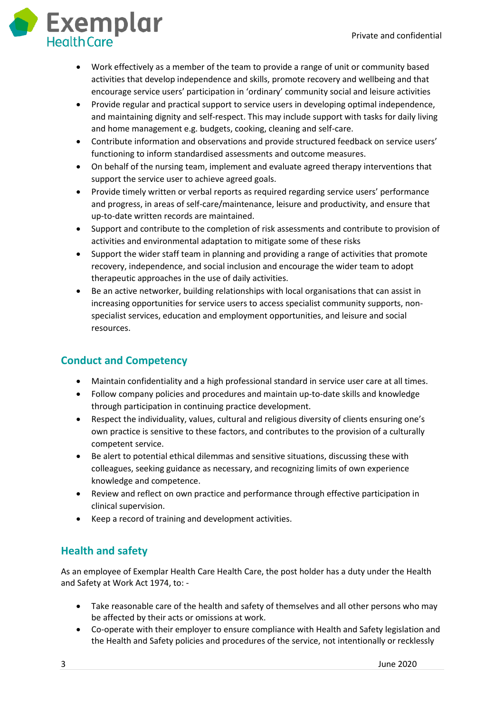

- Work effectively as a member of the team to provide a range of unit or community based activities that develop independence and skills, promote recovery and wellbeing and that encourage service users' participation in 'ordinary' community social and leisure activities
- Provide regular and practical support to service users in developing optimal independence, and maintaining dignity and self-respect. This may include support with tasks for daily living and home management e.g. budgets, cooking, cleaning and self-care.
- Contribute information and observations and provide structured feedback on service users' functioning to inform standardised assessments and outcome measures.
- On behalf of the nursing team, implement and evaluate agreed therapy interventions that support the service user to achieve agreed goals.
- Provide timely written or verbal reports as required regarding service users' performance and progress, in areas of self-care/maintenance, leisure and productivity, and ensure that up-to-date written records are maintained.
- Support and contribute to the completion of risk assessments and contribute to provision of activities and environmental adaptation to mitigate some of these risks
- Support the wider staff team in planning and providing a range of activities that promote recovery, independence, and social inclusion and encourage the wider team to adopt therapeutic approaches in the use of daily activities.
- Be an active networker, building relationships with local organisations that can assist in increasing opportunities for service users to access specialist community supports, nonspecialist services, education and employment opportunities, and leisure and social resources.

# **Conduct and Competency**

- Maintain confidentiality and a high professional standard in service user care at all times.
- Follow company policies and procedures and maintain up-to-date skills and knowledge through participation in continuing practice development.
- Respect the individuality, values, cultural and religious diversity of clients ensuring one's own practice is sensitive to these factors, and contributes to the provision of a culturally competent service.
- Be alert to potential ethical dilemmas and sensitive situations, discussing these with colleagues, seeking guidance as necessary, and recognizing limits of own experience knowledge and competence.
- Review and reflect on own practice and performance through effective participation in clinical supervision.
- Keep a record of training and development activities.

# **Health and safety**

As an employee of Exemplar Health Care Health Care, the post holder has a duty under the Health and Safety at Work Act 1974, to: -

- Take reasonable care of the health and safety of themselves and all other persons who may be affected by their acts or omissions at work.
- Co-operate with their employer to ensure compliance with Health and Safety legislation and the Health and Safety policies and procedures of the service, not intentionally or recklessly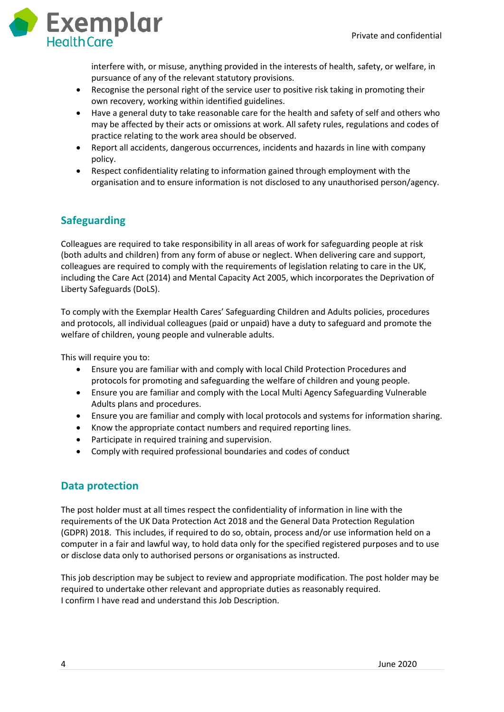

interfere with, or misuse, anything provided in the interests of health, safety, or welfare, in pursuance of any of the relevant statutory provisions.

- Recognise the personal right of the service user to positive risk taking in promoting their own recovery, working within identified guidelines.
- Have a general duty to take reasonable care for the health and safety of self and others who may be affected by their acts or omissions at work. All safety rules, regulations and codes of practice relating to the work area should be observed.
- Report all accidents, dangerous occurrences, incidents and hazards in line with company policy.
- Respect confidentiality relating to information gained through employment with the organisation and to ensure information is not disclosed to any unauthorised person/agency.

# **Safeguarding**

Colleagues are required to take responsibility in all areas of work for safeguarding people at risk (both adults and children) from any form of abuse or neglect. When delivering care and support, colleagues are required to comply with the requirements of legislation relating to care in the UK, including the Care Act (2014) and Mental Capacity Act 2005, which incorporates the Deprivation of Liberty Safeguards (DoLS).

To comply with the Exemplar Health Cares' Safeguarding Children and Adults policies, procedures and protocols, all individual colleagues (paid or unpaid) have a duty to safeguard and promote the welfare of children, young people and vulnerable adults.

This will require you to:

- Ensure you are familiar with and comply with local Child Protection Procedures and protocols for promoting and safeguarding the welfare of children and young people.
- Ensure you are familiar and comply with the Local Multi Agency Safeguarding Vulnerable Adults plans and procedures.
- Ensure you are familiar and comply with local protocols and systems for information sharing.
- Know the appropriate contact numbers and required reporting lines.
- Participate in required training and supervision.
- Comply with required professional boundaries and codes of conduct

## **Data protection**

The post holder must at all times respect the confidentiality of information in line with the requirements of the UK Data Protection Act 2018 and the General Data Protection Regulation (GDPR) 2018. This includes, if required to do so, obtain, process and/or use information held on a computer in a fair and lawful way, to hold data only for the specified registered purposes and to use or disclose data only to authorised persons or organisations as instructed.

This job description may be subject to review and appropriate modification. The post holder may be required to undertake other relevant and appropriate duties as reasonably required. I confirm I have read and understand this Job Description.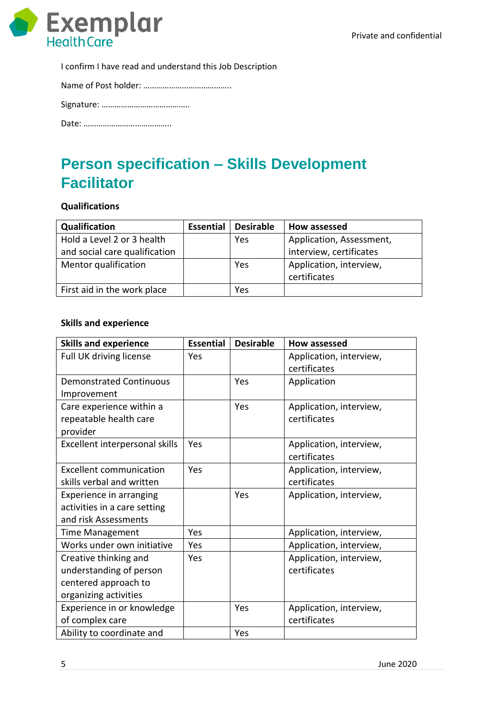

I confirm I have read and understand this Job Description

Name of Post holder: …………………………………..

Signature: …………………………………..

Date: …………………………………..

# **Person specification – Skills Development Facilitator**

### **Qualifications**

| Qualification                 | <b>Essential</b> | <b>Desirable</b> | How assessed             |
|-------------------------------|------------------|------------------|--------------------------|
| Hold a Level 2 or 3 health    |                  | Yes              | Application, Assessment, |
| and social care qualification |                  |                  | interview, certificates  |
| Mentor qualification          |                  | Yes              | Application, interview,  |
|                               |                  |                  | certificates             |
| First aid in the work place   |                  | Yes              |                          |

### **Skills and experience**

| <b>Skills and experience</b>   | <b>Essential</b> | <b>Desirable</b> | <b>How assessed</b>     |
|--------------------------------|------------------|------------------|-------------------------|
| Full UK driving license        | Yes              |                  | Application, interview, |
|                                |                  |                  | certificates            |
| <b>Demonstrated Continuous</b> |                  | Yes              | Application             |
| Improvement                    |                  |                  |                         |
| Care experience within a       |                  | Yes              | Application, interview, |
| repeatable health care         |                  |                  | certificates            |
| provider                       |                  |                  |                         |
| Excellent interpersonal skills | Yes              |                  | Application, interview, |
|                                |                  |                  | certificates            |
| <b>Excellent communication</b> | Yes              |                  | Application, interview, |
| skills verbal and written      |                  |                  | certificates            |
| Experience in arranging        |                  | Yes              | Application, interview, |
| activities in a care setting   |                  |                  |                         |
| and risk Assessments           |                  |                  |                         |
| <b>Time Management</b>         | Yes              |                  | Application, interview, |
| Works under own initiative     | Yes              |                  | Application, interview, |
| Creative thinking and          | Yes              |                  | Application, interview, |
| understanding of person        |                  |                  | certificates            |
| centered approach to           |                  |                  |                         |
| organizing activities          |                  |                  |                         |
| Experience in or knowledge     |                  | Yes              | Application, interview, |
| of complex care                |                  |                  | certificates            |
| Ability to coordinate and      |                  | Yes              |                         |